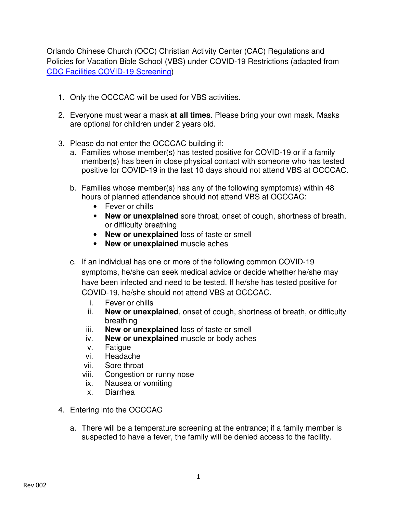Orlando Chinese Church (OCC) Christian Activity Center (CAC) Regulations and Policies for Vacation Bible School (VBS) under COVID-19 Restrictions (adapted from CDC Facilities COVID-19 Screening)

- 1. Only the OCCCAC will be used for VBS activities.
- 2. Everyone must wear a mask **at all times**. Please bring your own mask. Masks are optional for children under 2 years old.
- 3. Please do not enter the OCCCAC building if:
	- a. Families whose member(s) has tested positive for COVID-19 or if a family member(s) has been in close physical contact with someone who has tested positive for COVID-19 in the last 10 days should not attend VBS at OCCCAC.
	- b. Families whose member(s) has any of the following symptom(s) within 48 hours of planned attendance should not attend VBS at OCCCAC:
		- Fever or chills
		- **New or unexplained** sore throat, onset of cough, shortness of breath, or difficulty breathing
		- **New or unexplained** loss of taste or smell
		- **New or unexplained** muscle aches
	- c. If an individual has one or more of the following common COVID-19 symptoms, he/she can seek medical advice or decide whether he/she may have been infected and need to be tested. If he/she has tested positive for COVID-19, he/she should not attend VBS at OCCCAC.
		- i. Fever or chills
		- ii. **New or unexplained**, onset of cough, shortness of breath, or difficulty breathing
		- iii. **New or unexplained** loss of taste or smell
		- iv. **New or unexplained** muscle or body aches
		- v. Fatigue
		- vi. Headache
		- vii. Sore throat
		- viii. Congestion or runny nose
		- ix. Nausea or vomiting
		- x. Diarrhea
- 4. Entering into the OCCCAC
	- a. There will be a temperature screening at the entrance; if a family member is suspected to have a fever, the family will be denied access to the facility.